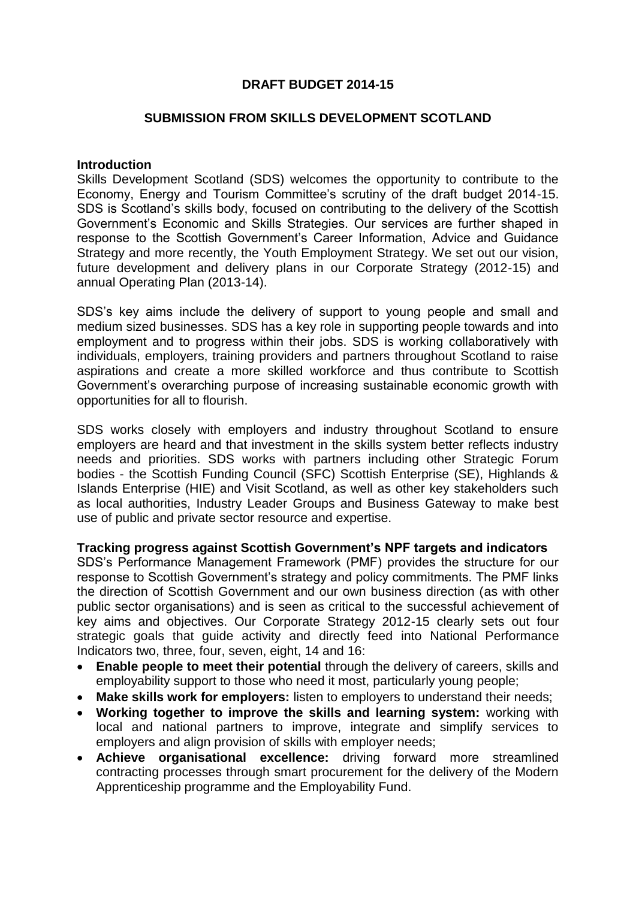# **DRAFT BUDGET 2014-15**

## **SUBMISSION FROM SKILLS DEVELOPMENT SCOTLAND**

#### **Introduction**

Skills Development Scotland (SDS) welcomes the opportunity to contribute to the Economy, Energy and Tourism Committee's scrutiny of the draft budget 2014-15. SDS is Scotland's skills body, focused on contributing to the delivery of the Scottish Government's Economic and Skills Strategies. Our services are further shaped in response to the Scottish Government's Career Information, Advice and Guidance Strategy and more recently, the Youth Employment Strategy. We set out our vision, future development and delivery plans in our Corporate Strategy (2012-15) and annual Operating Plan (2013-14).

SDS's key aims include the delivery of support to young people and small and medium sized businesses. SDS has a key role in supporting people towards and into employment and to progress within their jobs. SDS is working collaboratively with individuals, employers, training providers and partners throughout Scotland to raise aspirations and create a more skilled workforce and thus contribute to Scottish Government's overarching purpose of increasing sustainable economic growth with opportunities for all to flourish.

SDS works closely with employers and industry throughout Scotland to ensure employers are heard and that investment in the skills system better reflects industry needs and priorities. SDS works with partners including other Strategic Forum bodies - the Scottish Funding Council (SFC) Scottish Enterprise (SE), Highlands & Islands Enterprise (HIE) and Visit Scotland, as well as other key stakeholders such as local authorities, Industry Leader Groups and Business Gateway to make best use of public and private sector resource and expertise.

#### **Tracking progress against Scottish Government's NPF targets and indicators**

SDS's Performance Management Framework (PMF) provides the structure for our response to Scottish Government's strategy and policy commitments. The PMF links the direction of Scottish Government and our own business direction (as with other public sector organisations) and is seen as critical to the successful achievement of key aims and objectives. Our Corporate Strategy 2012-15 clearly sets out four strategic goals that guide activity and directly feed into National Performance Indicators two, three, four, seven, eight, 14 and 16:

- **Enable people to meet their potential** through the delivery of careers, skills and employability support to those who need it most, particularly young people;
- **Make skills work for employers:** listen to employers to understand their needs;
- **Working together to improve the skills and learning system:** working with local and national partners to improve, integrate and simplify services to employers and align provision of skills with employer needs;
- **Achieve organisational excellence:** driving forward more streamlined contracting processes through smart procurement for the delivery of the Modern Apprenticeship programme and the Employability Fund.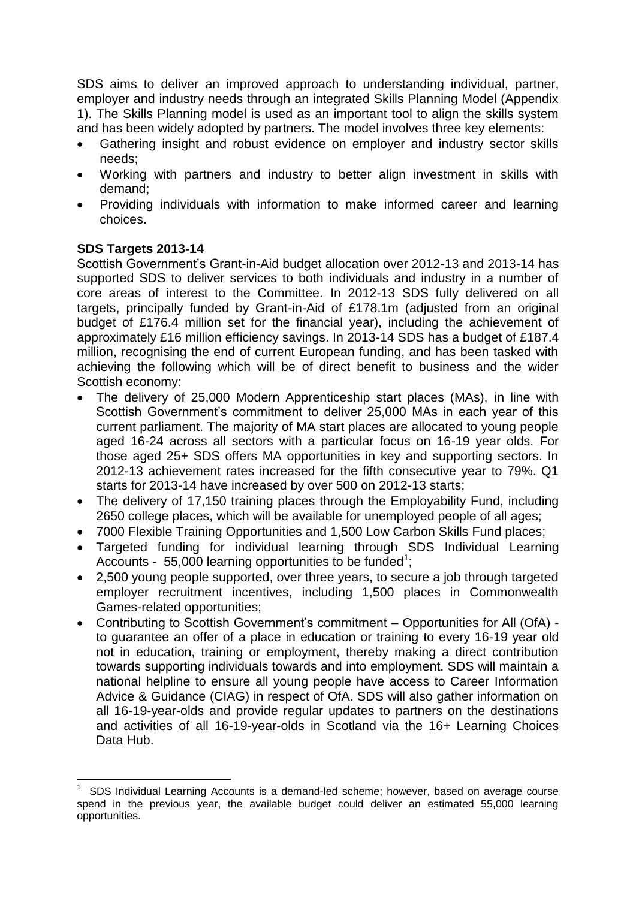SDS aims to deliver an improved approach to understanding individual, partner, employer and industry needs through an integrated Skills Planning Model (Appendix 1). The Skills Planning model is used as an important tool to align the skills system and has been widely adopted by partners. The model involves three key elements:

- Gathering insight and robust evidence on employer and industry sector skills needs;
- Working with partners and industry to better align investment in skills with demand;
- Providing individuals with information to make informed career and learning choices.

# **SDS Targets 2013-14**

Scottish Government's Grant-in-Aid budget allocation over 2012-13 and 2013-14 has supported SDS to deliver services to both individuals and industry in a number of core areas of interest to the Committee. In 2012-13 SDS fully delivered on all targets, principally funded by Grant-in-Aid of £178.1m (adjusted from an original budget of £176.4 million set for the financial year), including the achievement of approximately £16 million efficiency savings. In 2013-14 SDS has a budget of £187.4 million, recognising the end of current European funding, and has been tasked with achieving the following which will be of direct benefit to business and the wider Scottish economy:

- The delivery of 25,000 Modern Apprenticeship start places (MAs), in line with Scottish Government's commitment to deliver 25,000 MAs in each year of this current parliament. The majority of MA start places are allocated to young people aged 16-24 across all sectors with a particular focus on 16-19 year olds. For those aged 25+ SDS offers MA opportunities in key and supporting sectors. In 2012-13 achievement rates increased for the fifth consecutive year to 79%. Q1 starts for 2013-14 have increased by over 500 on 2012-13 starts;
- The delivery of 17,150 training places through the Employability Fund, including 2650 college places, which will be available for unemployed people of all ages;
- 7000 Flexible Training Opportunities and 1,500 Low Carbon Skills Fund places;
- Targeted funding for individual learning through SDS Individual Learning Accounts - 55,000 learning opportunities to be funded<sup>1</sup>;
- 2,500 young people supported, over three years, to secure a job through targeted employer recruitment incentives, including 1,500 places in Commonwealth Games-related opportunities;
- Contributing to Scottish Government's commitment Opportunities for All (OfA) to guarantee an offer of a place in education or training to every 16-19 year old not in education, training or employment, thereby making a direct contribution towards supporting individuals towards and into employment. SDS will maintain a national helpline to ensure all young people have access to Career Information Advice & Guidance (CIAG) in respect of OfA. SDS will also gather information on all 16-19-year-olds and provide regular updates to partners on the destinations and activities of all 16-19-year-olds in Scotland via the 16+ Learning Choices Data Hub.

 $\overline{\phantom{a}}$ 1 SDS Individual Learning Accounts is a demand-led scheme; however, based on average course spend in the previous year, the available budget could deliver an estimated 55,000 learning opportunities.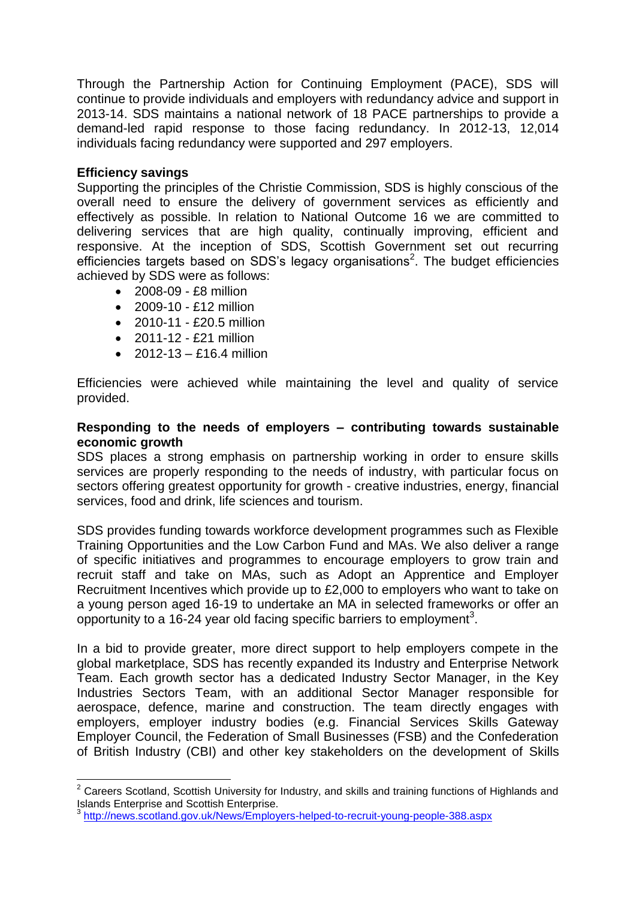Through the Partnership Action for Continuing Employment (PACE), SDS will continue to provide individuals and employers with redundancy advice and support in 2013-14. SDS maintains a national network of 18 PACE partnerships to provide a demand-led rapid response to those facing redundancy. In 2012-13, 12,014 individuals facing redundancy were supported and 297 employers.

# **Efficiency savings**

 $\overline{\phantom{a}}$ 

Supporting the principles of the Christie Commission, SDS is highly conscious of the overall need to ensure the delivery of government services as efficiently and effectively as possible. In relation to National Outcome 16 we are committed to delivering services that are high quality, continually improving, efficient and responsive. At the inception of SDS, Scottish Government set out recurring efficiencies targets based on SDS's legacy organisations<sup>2</sup>. The budget efficiencies achieved by SDS were as follows:

- 2008-09 £8 million
- 2009-10 £12 million
- $\bullet$  2010-11 £20.5 million
- 2011-12 £21 million
- $\bullet$  2012-13 £16.4 million

Efficiencies were achieved while maintaining the level and quality of service provided.

## **Responding to the needs of employers – contributing towards sustainable economic growth**

SDS places a strong emphasis on partnership working in order to ensure skills services are properly responding to the needs of industry, with particular focus on sectors offering greatest opportunity for growth - creative industries, energy, financial services, food and drink, life sciences and tourism.

SDS provides funding towards workforce development programmes such as Flexible Training Opportunities and the Low Carbon Fund and MAs. We also deliver a range of specific initiatives and programmes to encourage employers to grow train and recruit staff and take on MAs, such as Adopt an Apprentice and Employer Recruitment Incentives which provide up to £2,000 to employers who want to take on a young person aged 16-19 to undertake an MA in selected frameworks or offer an opportunity to a 16-24 year old facing specific barriers to employment<sup>3</sup>.

In a bid to provide greater, more direct support to help employers compete in the global marketplace, SDS has recently expanded its Industry and Enterprise Network Team. Each growth sector has a dedicated Industry Sector Manager, in the Key Industries Sectors Team, with an additional Sector Manager responsible for aerospace, defence, marine and construction. The team directly engages with employers, employer industry bodies (e.g. Financial Services Skills Gateway Employer Council, the Federation of Small Businesses (FSB) and the Confederation of British Industry (CBI) and other key stakeholders on the development of Skills

 $2$  Careers Scotland, Scottish University for Industry, and skills and training functions of Highlands and Islands Enterprise and Scottish Enterprise.

<sup>3</sup> <http://news.scotland.gov.uk/News/Employers-helped-to-recruit-young-people-388.aspx>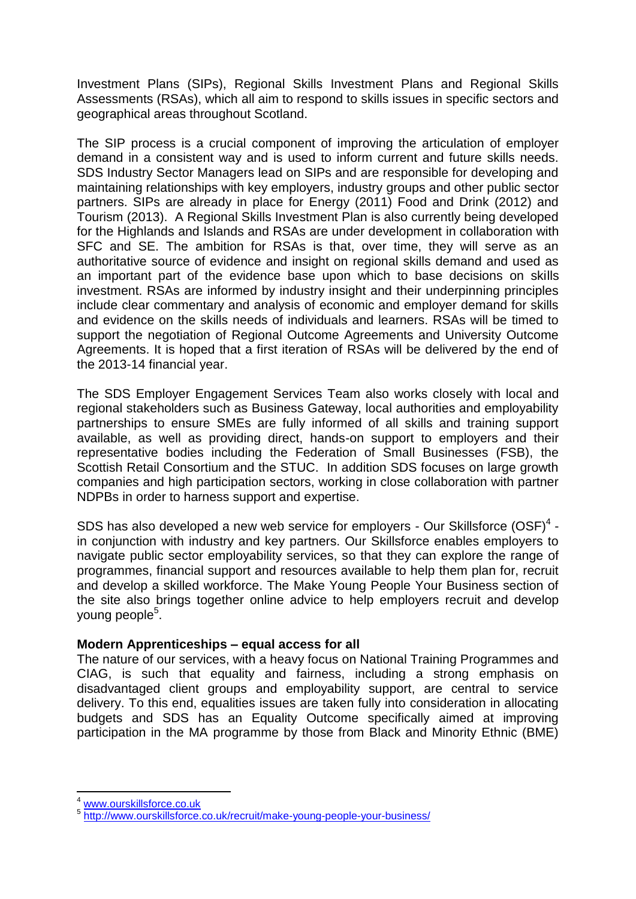Investment Plans (SIPs), Regional Skills Investment Plans and Regional Skills Assessments (RSAs), which all aim to respond to skills issues in specific sectors and geographical areas throughout Scotland.

The SIP process is a crucial component of improving the articulation of employer demand in a consistent way and is used to inform current and future skills needs. SDS Industry Sector Managers lead on SIPs and are responsible for developing and maintaining relationships with key employers, industry groups and other public sector partners. SIPs are already in place for Energy (2011) Food and Drink (2012) and Tourism (2013). A Regional Skills Investment Plan is also currently being developed for the Highlands and Islands and RSAs are under development in collaboration with SFC and SE. The ambition for RSAs is that, over time, they will serve as an authoritative source of evidence and insight on regional skills demand and used as an important part of the evidence base upon which to base decisions on skills investment. RSAs are informed by industry insight and their underpinning principles include clear commentary and analysis of economic and employer demand for skills and evidence on the skills needs of individuals and learners. RSAs will be timed to support the negotiation of Regional Outcome Agreements and University Outcome Agreements. It is hoped that a first iteration of RSAs will be delivered by the end of the 2013-14 financial year.

The SDS Employer Engagement Services Team also works closely with local and regional stakeholders such as Business Gateway, local authorities and employability partnerships to ensure SMEs are fully informed of all skills and training support available, as well as providing direct, hands-on support to employers and their representative bodies including the Federation of Small Businesses (FSB), the Scottish Retail Consortium and the STUC. In addition SDS focuses on large growth companies and high participation sectors, working in close collaboration with partner NDPBs in order to harness support and expertise.

SDS has also developed a new web service for employers - Our Skillsforce  $(SSF)^4$  in conjunction with industry and key partners. Our Skillsforce enables employers to navigate public sector employability services, so that they can explore the range of programmes, financial support and resources available to help them plan for, recruit and develop a skilled workforce. The Make Young People Your Business section of the site also brings together online advice to help employers recruit and develop young people<sup>5</sup>.

# **Modern Apprenticeships – equal access for all**

The nature of our services, with a heavy focus on National Training Programmes and CIAG, is such that equality and fairness, including a strong emphasis on disadvantaged client groups and employability support, are central to service delivery. To this end, equalities issues are taken fully into consideration in allocating budgets and SDS has an Equality Outcome specifically aimed at improving participation in the MA programme by those from Black and Minority Ethnic (BME)

**<sup>.</sup>** <sup>4</sup> [www.ourskillsforce.co.uk](http://www.ourskillsforce.co.uk/)

<sup>5</sup> <http://www.ourskillsforce.co.uk/recruit/make-young-people-your-business/>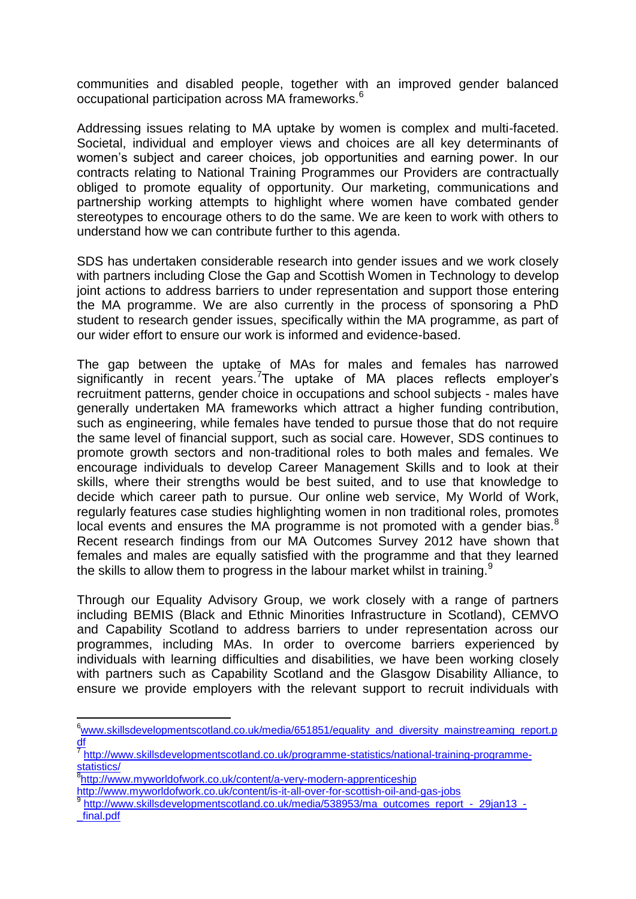communities and disabled people, together with an improved gender balanced occupational participation across MA frameworks.<sup>6</sup>

Addressing issues relating to MA uptake by women is complex and multi-faceted. Societal, individual and employer views and choices are all key determinants of women's subject and career choices, job opportunities and earning power. In our contracts relating to National Training Programmes our Providers are contractually obliged to promote equality of opportunity. Our marketing, communications and partnership working attempts to highlight where women have combated gender stereotypes to encourage others to do the same. We are keen to work with others to understand how we can contribute further to this agenda.

SDS has undertaken considerable research into gender issues and we work closely with partners including Close the Gap and Scottish Women in Technology to develop joint actions to address barriers to under representation and support those entering the MA programme. We are also currently in the process of sponsoring a PhD student to research gender issues, specifically within the MA programme, as part of our wider effort to ensure our work is informed and evidence-based.

The gap between the uptake of MAs for males and females has narrowed significantly in recent years.<sup>7</sup>The uptake of MA places reflects employer's recruitment patterns, gender choice in occupations and school subjects - males have generally undertaken MA frameworks which attract a higher funding contribution, such as engineering, while females have tended to pursue those that do not require the same level of financial support, such as social care. However, SDS continues to promote growth sectors and non-traditional roles to both males and females. We encourage individuals to develop Career Management Skills and to look at their skills, where their strengths would be best suited, and to use that knowledge to decide which career path to pursue. Our online web service, My World of Work, regularly features case studies highlighting women in non traditional roles, promotes local events and ensures the MA programme is not promoted with a gender bias. $8$ Recent research findings from our MA Outcomes Survey 2012 have shown that females and males are equally satisfied with the programme and that they learned the skills to allow them to progress in the labour market whilst in training.<sup>9</sup>

Through our Equality Advisory Group, we work closely with a range of partners including BEMIS (Black and Ethnic Minorities Infrastructure in Scotland), CEMVO and Capability Scotland to address barriers to under representation across our programmes, including MAs. In order to overcome barriers experienced by individuals with learning difficulties and disabilities, we have been working closely with partners such as Capability Scotland and the Glasgow Disability Alliance, to ensure we provide employers with the relevant support to recruit individuals with

**.** 

- <http://www.myworldofwork.co.uk/content/is-it-all-over-for-scottish-oil-and-gas-jobs>
- 9 [http://www.skillsdevelopmentscotland.co.uk/media/538953/ma\\_outcomes\\_report\\_-\\_29jan13\\_-](http://www.skillsdevelopmentscotland.co.uk/media/538953/ma_outcomes_report_-_29jan13_-_final.pdf) [\\_final.pdf](http://www.skillsdevelopmentscotland.co.uk/media/538953/ma_outcomes_report_-_29jan13_-_final.pdf)

<sup>&</sup>lt;sup>6</sup>[www.skillsdevelopmentscotland.co.uk/media/651851/equality\\_and\\_diversity\\_mainstreaming\\_report.p](http://www.skillsdevelopmentscotland.co.uk/media/651851/equality_and_diversity_mainstreaming_report.pdf) [df](http://www.skillsdevelopmentscotland.co.uk/media/651851/equality_and_diversity_mainstreaming_report.pdf)

<sup>7</sup> [http://www.skillsdevelopmentscotland.co.uk/programme-statistics/national-training-programme](http://www.skillsdevelopmentscotland.co.uk/programme-statistics/national-training-programme-statistics/)[statistics/](http://www.skillsdevelopmentscotland.co.uk/programme-statistics/national-training-programme-statistics/) 

<sup>&</sup>lt;sup>8</sup><http://www.myworldofwork.co.uk/content/a-very-modern-apprenticeship>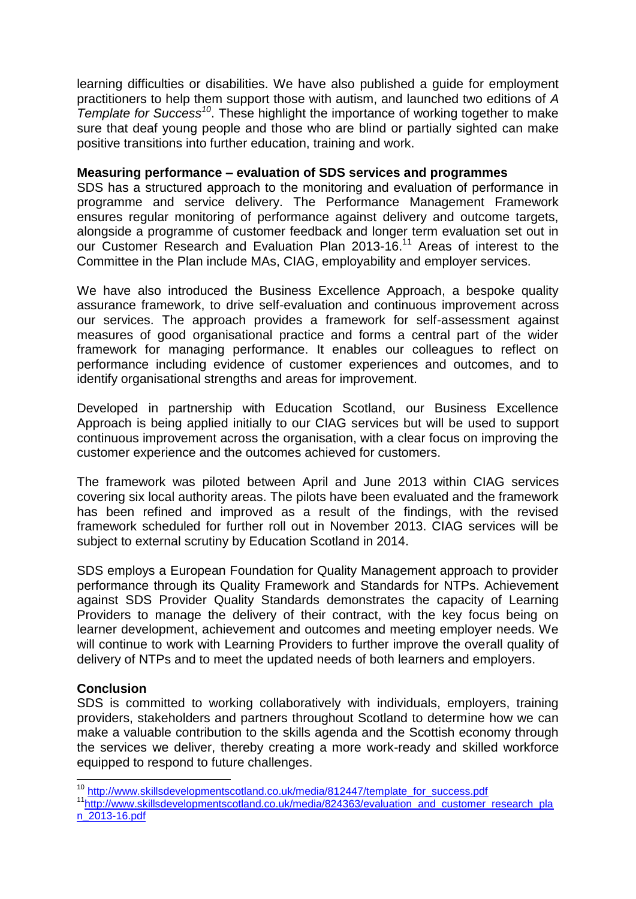learning difficulties or disabilities. We have also published a guide for employment practitioners to help them support those with autism, and launched two editions of *A Template for Success<sup>10</sup>*. These highlight the importance of working together to make sure that deaf young people and those who are blind or partially sighted can make positive transitions into further education, training and work.

## **Measuring performance – evaluation of SDS services and programmes**

SDS has a structured approach to the monitoring and evaluation of performance in programme and service delivery. The Performance Management Framework ensures regular monitoring of performance against delivery and outcome targets, alongside a programme of customer feedback and longer term evaluation set out in our Customer Research and Evaluation Plan 2013-16.<sup>11</sup> Areas of interest to the Committee in the Plan include MAs, CIAG, employability and employer services.

We have also introduced the Business Excellence Approach, a bespoke quality assurance framework, to drive self-evaluation and continuous improvement across our services. The approach provides a framework for self-assessment against measures of good organisational practice and forms a central part of the wider framework for managing performance. It enables our colleagues to reflect on performance including evidence of customer experiences and outcomes, and to identify organisational strengths and areas for improvement.

Developed in partnership with Education Scotland, our Business Excellence Approach is being applied initially to our CIAG services but will be used to support continuous improvement across the organisation, with a clear focus on improving the customer experience and the outcomes achieved for customers.

The framework was piloted between April and June 2013 within CIAG services covering six local authority areas. The pilots have been evaluated and the framework has been refined and improved as a result of the findings, with the revised framework scheduled for further roll out in November 2013. CIAG services will be subject to external scrutiny by Education Scotland in 2014.

SDS employs a European Foundation for Quality Management approach to provider performance through its Quality Framework and Standards for NTPs. Achievement against SDS Provider Quality Standards demonstrates the capacity of Learning Providers to manage the delivery of their contract, with the key focus being on learner development, achievement and outcomes and meeting employer needs. We will continue to work with Learning Providers to further improve the overall quality of delivery of NTPs and to meet the updated needs of both learners and employers.

# **Conclusion**

 $\overline{\phantom{a}}$ 

SDS is committed to working collaboratively with individuals, employers, training providers, stakeholders and partners throughout Scotland to determine how we can make a valuable contribution to the skills agenda and the Scottish economy through the services we deliver, thereby creating a more work-ready and skilled workforce equipped to respond to future challenges.

<sup>&</sup>lt;sup>10</sup> [http://www.skillsdevelopmentscotland.co.uk/media/812447/template\\_for\\_success.pdf](http://www.skillsdevelopmentscotland.co.uk/media/812447/template_for_success.pdf)

<sup>11&</sup>lt;sub>[http://www.skillsdevelopmentscotland.co.uk/media/824363/evaluation\\_and\\_customer\\_research\\_pla](http://www.skillsdevelopmentscotland.co.uk/media/824363/evaluation_and_customer_research_plan_2013-16.pdf)</sub> [n\\_2013-16.pdf](http://www.skillsdevelopmentscotland.co.uk/media/824363/evaluation_and_customer_research_plan_2013-16.pdf)